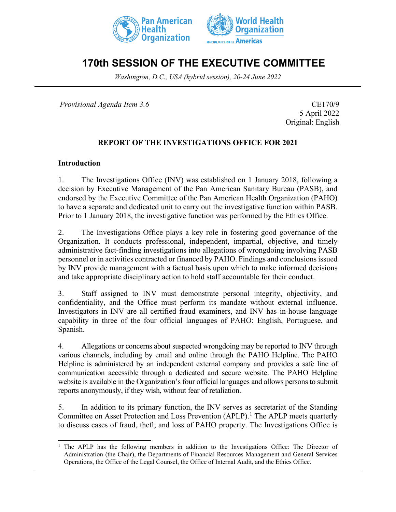



# **170th SESSION OF THE EXECUTIVE COMMITTEE**

*Washington, D.C., USA (hybrid session), 20-24 June 2022*

*Provisional Agenda Item 3.6* CE170/9

5 April 2022 Original: English

#### **REPORT OF THE INVESTIGATIONS OFFICE FOR 2021**

#### **Introduction**

1. The Investigations Office (INV) was established on 1 January 2018, following a decision by Executive Management of the Pan American Sanitary Bureau (PASB), and endorsed by the Executive Committee of the Pan American Health Organization (PAHO) to have a separate and dedicated unit to carry out the investigative function within PASB. Prior to 1 January 2018, the investigative function was performed by the Ethics Office.

2. The Investigations Office plays a key role in fostering good governance of the Organization. It conducts professional, independent, impartial, objective, and timely administrative fact-finding investigations into allegations of wrongdoing involving PASB personnel or in activities contracted or financed by PAHO. Findings and conclusions issued by INV provide management with a factual basis upon which to make informed decisions and take appropriate disciplinary action to hold staff accountable for their conduct.

3. Staff assigned to INV must demonstrate personal integrity, objectivity, and confidentiality, and the Office must perform its mandate without external influence. Investigators in INV are all certified fraud examiners, and INV has in-house language capability in three of the four official languages of PAHO: English, Portuguese, and Spanish.

4. Allegations or concerns about suspected wrongdoing may be reported to INV through various channels, including by email and online through the PAHO Helpline. The PAHO Helpline is administered by an independent external company and provides a safe line of communication accessible through a dedicated and secure website. The PAHO Helpline website is available in the Organization's four official languages and allows persons to submit reports anonymously, if they wish, without fear of retaliation.

5. In addition to its primary function, the INV serves as secretariat of the Standing Committee on Asset Protection and Loss Prevention (APLP).<sup>[1](#page-0-0)</sup> The APLP meets quarterly to discuss cases of fraud, theft, and loss of PAHO property. The Investigations Office is

<span id="page-0-0"></span><sup>&</sup>lt;sup>1</sup> The APLP has the following members in addition to the Investigations Office: The Director of Administration (the Chair), the Departments of Financial Resources Management and General Services Operations, the Office of the Legal Counsel, the Office of Internal Audit, and the Ethics Office.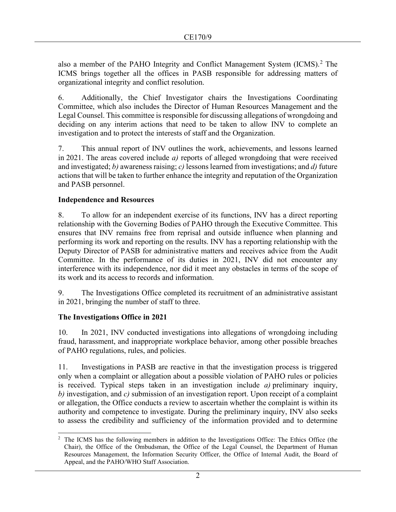also a member of the PAHO Integrity and Conflict Management System (ICMS).<sup>[2](#page-1-0)</sup> The ICMS brings together all the offices in PASB responsible for addressing matters of organizational integrity and conflict resolution.

6. Additionally, the Chief Investigator chairs the Investigations Coordinating Committee, which also includes the Director of Human Resources Management and the Legal Counsel. This committee is responsible for discussing allegations of wrongdoing and deciding on any interim actions that need to be taken to allow INV to complete an investigation and to protect the interests of staff and the Organization.

7. This annual report of INV outlines the work, achievements, and lessons learned in 2021. The areas covered include *a)* reports of alleged wrongdoing that were received and investigated; *b)* awareness raising; *c)* lessons learned from investigations; and *d)* future actions that will be taken to further enhance the integrity and reputation of the Organization and PASB personnel.

## **Independence and Resources**

8. To allow for an independent exercise of its functions, INV has a direct reporting relationship with the Governing Bodies of PAHO through the Executive Committee. This ensures that INV remains free from reprisal and outside influence when planning and performing its work and reporting on the results. INV has a reporting relationship with the Deputy Director of PASB for administrative matters and receives advice from the Audit Committee. In the performance of its duties in 2021, INV did not encounter any interference with its independence, nor did it meet any obstacles in terms of the scope of its work and its access to records and information.

9. The Investigations Office completed its recruitment of an administrative assistant in 2021, bringing the number of staff to three.

## **The Investigations Office in 2021**

10. In 2021, INV conducted investigations into allegations of wrongdoing including fraud, harassment, and inappropriate workplace behavior, among other possible breaches of PAHO regulations, rules, and policies.

11. Investigations in PASB are reactive in that the investigation process is triggered only when a complaint or allegation about a possible violation of PAHO rules or policies is received. Typical steps taken in an investigation include *a)* preliminary inquiry, *b)* investigation, and *c)* submission of an investigation report. Upon receipt of a complaint or allegation, the Office conducts a review to ascertain whether the complaint is within its authority and competence to investigate. During the preliminary inquiry, INV also seeks to assess the credibility and sufficiency of the information provided and to determine

<span id="page-1-0"></span><sup>&</sup>lt;sup>2</sup> The ICMS has the following members in addition to the Investigations Office: The Ethics Office (the Chair), the Office of the Ombudsman, the Office of the Legal Counsel, the Department of Human Resources Management, the Information Security Officer, the Office of Internal Audit, the Board of Appeal, and the PAHO/WHO Staff Association.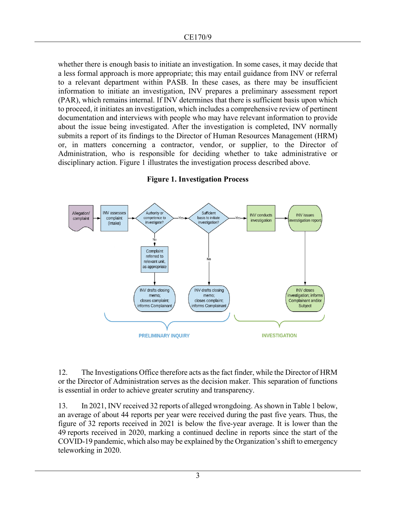whether there is enough basis to initiate an investigation. In some cases, it may decide that a less formal approach is more appropriate; this may entail guidance from INV or referral to a relevant department within PASB. In these cases, as there may be insufficient information to initiate an investigation, INV prepares a preliminary assessment report (PAR), which remains internal. If INV determines that there is sufficient basis upon which to proceed, it initiates an investigation, which includes a comprehensive review of pertinent documentation and interviews with people who may have relevant information to provide about the issue being investigated. After the investigation is completed, INV normally submits a report of its findings to the Director of Human Resources Management (HRM) or, in matters concerning a contractor, vendor, or supplier, to the Director of Administration, who is responsible for deciding whether to take administrative or disciplinary action. Figure 1 illustrates the investigation process described above.



#### **Figure 1. Investigation Process**

12. The Investigations Office therefore acts as the fact finder, while the Director of HRM or the Director of Administration serves as the decision maker. This separation of functions is essential in order to achieve greater scrutiny and transparency.

13. In 2021, INV received 32 reports of alleged wrongdoing. As shown in Table 1 below, an average of about 44 reports per year were received during the past five years. Thus, the figure of 32 reports received in 2021 is below the five-year average. It is lower than the 49 reports received in 2020, marking a continued decline in reports since the start of the COVID-19 pandemic, which also may be explained by the Organization's shift to emergency teleworking in 2020.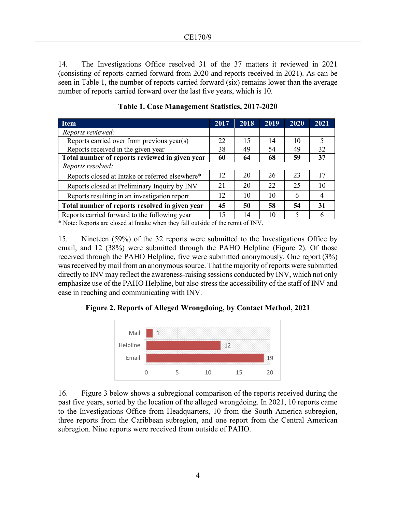14. The Investigations Office resolved 31 of the 37 matters it reviewed in 2021 (consisting of reports carried forward from 2020 and reports received in 2021). As can be seen in Table 1, the number of reports carried forward (six) remains lower than the average number of reports carried forward over the last five years, which is 10.

| <b>Item</b>                                     | 2017 | 2018 | 2019 | 2020 | 2021 |
|-------------------------------------------------|------|------|------|------|------|
| Reports reviewed:                               |      |      |      |      |      |
| Reports carried over from previous year(s)      | 22   | 15   | 14   | 10   |      |
| Reports received in the given year              | 38   | 49   | 54   | 49   | 32   |
| Total number of reports reviewed in given year  |      | 64   | 68   | 59   | 37   |
| Reports resolved:                               |      |      |      |      |      |
| Reports closed at Intake or referred elsewhere* | 12   | 20   | 26   | 23   | 17   |
| Reports closed at Preliminary Inquiry by INV    | 21   | 20   | 22   | 25   | 10   |
| Reports resulting in an investigation report    |      | 10   | 10   | 6    | 4    |
| Total number of reports resolved in given year  |      | 50   | 58   | 54   | 31   |
| Reports carried forward to the following year   |      | 14   | 10   | 5    |      |

**Table 1. Case Management Statistics, 2017-2020** 

\* Note: Reports are closed at Intake when they fall outside of the remit of INV.

15. Nineteen (59%) of the 32 reports were submitted to the Investigations Office by email, and 12 (38%) were submitted through the PAHO Helpline (Figure 2). Of those received through the PAHO Helpline, five were submitted anonymously. One report (3%) was received by mail from an anonymous source. That the majority of reports were submitted directly to INV may reflect the awareness-raising sessions conducted by INV, which not only emphasize use of the PAHO Helpline, but also stress the accessibility of the staff of INV and ease in reaching and communicating with INV.

**Figure 2. Reports of Alleged Wrongdoing, by Contact Method, 2021** 



16. Figure 3 below shows a subregional comparison of the reports received during the past five years, sorted by the location of the alleged wrongdoing. In 2021, 10 reports came to the Investigations Office from Headquarters, 10 from the South America subregion, three reports from the Caribbean subregion, and one report from the Central American subregion. Nine reports were received from outside of PAHO.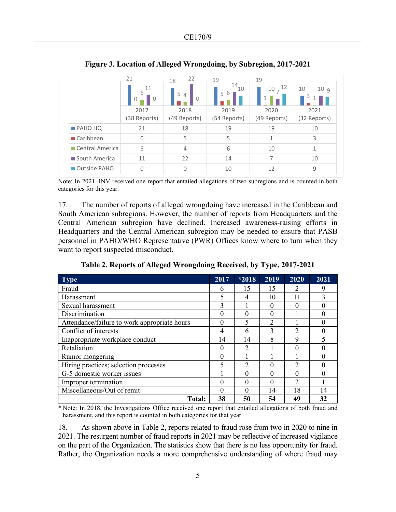|                          | 21<br>11<br>6<br>0<br>0<br>2017<br>(38 Reports) | 22<br>18<br>5<br>4<br>0<br>2018<br>(49 Reports) | 19<br>14<br>10<br>6<br>5<br>2019<br>(54 Reports) | 19<br>12<br>$10 -$<br>1<br>2020<br>(49 Reports) | 10<br>10q<br>2021<br>(32 Reports) |
|--------------------------|-------------------------------------------------|-------------------------------------------------|--------------------------------------------------|-------------------------------------------------|-----------------------------------|
| $PROOF$                  | 21                                              | 18                                              | 19                                               | 19                                              | 10                                |
| $\blacksquare$ Caribbean | $\Omega$                                        | 5                                               | 5                                                | 1                                               | 3                                 |
| Central America          | 6                                               | $\overline{4}$                                  | 6                                                | 10                                              | 1                                 |
| South America            | 11                                              | 22                                              | 14                                               | 7                                               | 10                                |
| Outside PAHO             | $\Omega$                                        | 0                                               | 10                                               | 12                                              | 9                                 |

**Figure 3. Location of Alleged Wrongdoing, by Subregion, 2017-2021** 

Note: In 2021, INV received one report that entailed allegations of two subregions and is counted in both categories for this year.

17. The number of reports of alleged wrongdoing have increased in the Caribbean and South American subregions. However, the number of reports from Headquarters and the Central American subregion have declined. Increased awareness-raising efforts in Headquarters and the Central American subregion may be needed to ensure that PASB personnel in PAHO/WHO Representative (PWR) Offices know where to turn when they want to report suspected misconduct.

**Table 2. Reports of Alleged Wrongdoing Received, by Type, 2017-2021** 

| Type                                         | 2017     | $*2018$                     | 2019           | 2020           | 2021 |
|----------------------------------------------|----------|-----------------------------|----------------|----------------|------|
| Fraud                                        | 6        | 15                          | 15             | 2              | 9    |
| Harassment                                   | 5        | 4                           | 10             | 11             | 3    |
| Sexual harassment                            | 3        |                             | $\theta$       | 0              |      |
| Discrimination                               | 0        | $\theta$                    | $\theta$       |                |      |
| Attendance/failure to work appropriate hours | 0        | 5                           | $\mathfrak{D}$ |                |      |
| Conflict of interests                        | 4        | 6                           | 3              | $\mathfrak{D}$ |      |
| Inappropriate workplace conduct              | 14       | 14                          | 8              | 9              |      |
| Retaliation                                  | 0        | $\overline{2}$              |                | 0              |      |
| Rumor mongering                              | 0        |                             |                |                |      |
| Hiring practices; selection processes        | 5        | $\mathcal{D}_{\mathcal{A}}$ | 0              | 2              |      |
| G-5 domestic worker issues                   |          | $\theta$                    | $\theta$       | 0              |      |
| Improper termination                         | $\theta$ | 0                           | 0              | $\mathfrak{D}$ |      |
| Miscellaneous/Out of remit                   | 0        | 0                           | 14             | 18             | 14   |
| Total:                                       | 38       | 50                          | 54             | 49             | 32   |

\* Note: In 2018, the Investigations Office received one report that entailed allegations of both fraud and harassment, and this report is counted in both categories for that year.

18. As shown above in Table 2, reports related to fraud rose from two in 2020 to nine in 2021. The resurgent number of fraud reports in 2021 may be reflective of increased vigilance on the part of the Organization. The statistics show that there is no less opportunity for fraud. Rather, the Organization needs a more comprehensive understanding of where fraud may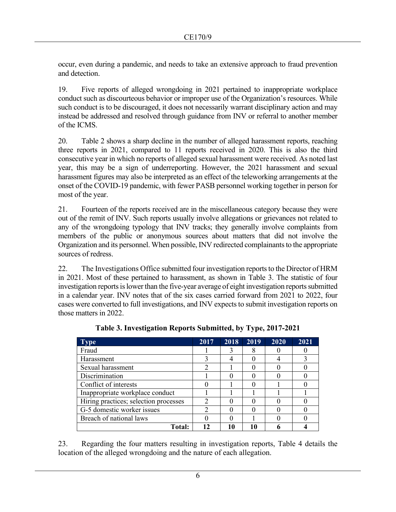occur, even during a pandemic, and needs to take an extensive approach to fraud prevention and detection.

19. Five reports of alleged wrongdoing in 2021 pertained to inappropriate workplace conduct such as discourteous behavior or improper use of the Organization's resources. While such conduct is to be discouraged, it does not necessarily warrant disciplinary action and may instead be addressed and resolved through guidance from INV or referral to another member of the ICMS.

20. Table 2 shows a sharp decline in the number of alleged harassment reports, reaching three reports in 2021, compared to 11 reports received in 2020. This is also the third consecutive year in which no reports of alleged sexual harassment were received. As noted last year, this may be a sign of underreporting. However, the 2021 harassment and sexual harassment figures may also be interpreted as an effect of the teleworking arrangements at the onset of the COVID-19 pandemic, with fewer PASB personnel working together in person for most of the year.

21. Fourteen of the reports received are in the miscellaneous category because they were out of the remit of INV. Such reports usually involve allegations or grievances not related to any of the wrongdoing typology that INV tracks; they generally involve complaints from members of the public or anonymous sources about matters that did not involve the Organization and its personnel. When possible, INV redirected complainants to the appropriate sources of redress.

22. The Investigations Office submitted four investigation reports to the Director of HRM in 2021. Most of these pertained to harassment, as shown in Table 3. The statistic of four investigation reports is lower than the five-year average of eight investigation reports submitted in a calendar year. INV notes that of the six cases carried forward from 2021 to 2022, four cases were converted to full investigations, and INV expects to submit investigation reports on those matters in 2022.

| <b>Type</b>                           | 2017 | 2018 | 2019 | 2020 | 2021 |
|---------------------------------------|------|------|------|------|------|
| Fraud                                 |      |      |      |      |      |
| Harassment                            |      |      |      |      |      |
| Sexual harassment                     |      |      |      |      |      |
| Discrimination                        |      |      |      |      |      |
| Conflict of interests                 |      |      |      |      |      |
| Inappropriate workplace conduct       |      |      |      |      |      |
| Hiring practices; selection processes |      |      |      |      |      |
| G-5 domestic worker issues            |      |      |      |      |      |
| Breach of national laws               |      |      |      |      |      |
| <b>Total:</b>                         | 17   | 10   |      |      |      |

**Table 3. Investigation Reports Submitted, by Type, 2017-2021** 

23. Regarding the four matters resulting in investigation reports, Table 4 details the location of the alleged wrongdoing and the nature of each allegation.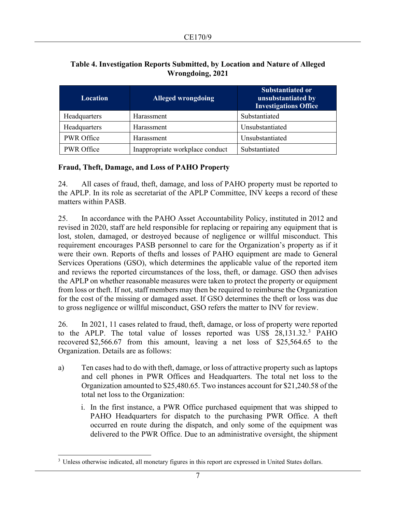| <b>Location</b>   | <b>Alleged wrongdoing</b>       | <b>Substantiated or</b><br>unsubstantiated by<br><b>Investigations Office</b> |
|-------------------|---------------------------------|-------------------------------------------------------------------------------|
| Headquarters      | Harassment                      | Substantiated                                                                 |
| Headquarters      | Harassment                      | Unsubstantiated                                                               |
| PWR Office        | Harassment                      | Unsubstantiated                                                               |
| <b>PWR</b> Office | Inappropriate workplace conduct | Substantiated                                                                 |

## **Table 4. Investigation Reports Submitted, by Location and Nature of Alleged Wrongdoing, 2021**

## **Fraud, Theft, Damage, and Loss of PAHO Property**

24. All cases of fraud, theft, damage, and loss of PAHO property must be reported to the APLP. In its role as secretariat of the APLP Committee, INV keeps a record of these matters within PASB.

25. In accordance with the PAHO Asset Accountability Policy, instituted in 2012 and revised in 2020, staff are held responsible for replacing or repairing any equipment that is lost, stolen, damaged, or destroyed because of negligence or willful misconduct. This requirement encourages PASB personnel to care for the Organization's property as if it were their own. Reports of thefts and losses of PAHO equipment are made to General Services Operations (GSO), which determines the applicable value of the reported item and reviews the reported circumstances of the loss, theft, or damage. GSO then advises the APLP on whether reasonable measures were taken to protect the property or equipment from loss or theft. If not, staff members may then be required to reimburse the Organization for the cost of the missing or damaged asset. If GSO determines the theft or loss was due to gross negligence or willful misconduct, GSO refers the matter to INV for review.

26. In 2021, 11 cases related to fraud, theft, damage, or loss of property were reported to the APLP. The total value of losses reported was US\$ 28,1[3](#page-6-0)1.32.<sup>3</sup> PAHO recovered \$2,566.67 from this amount, leaving a net loss of \$25,564.65 to the Organization. Details are as follows:

- a) Ten cases had to do with theft, damage, or loss of attractive property such as laptops and cell phones in PWR Offices and Headquarters. The total net loss to the Organization amounted to \$25,480.65. Two instances account for \$21,240.58 of the total net loss to the Organization:
	- i. In the first instance, a PWR Office purchased equipment that was shipped to PAHO Headquarters for dispatch to the purchasing PWR Office. A theft occurred en route during the dispatch, and only some of the equipment was delivered to the PWR Office. Due to an administrative oversight, the shipment

<span id="page-6-0"></span><sup>&</sup>lt;sup>3</sup> Unless otherwise indicated, all monetary figures in this report are expressed in United States dollars.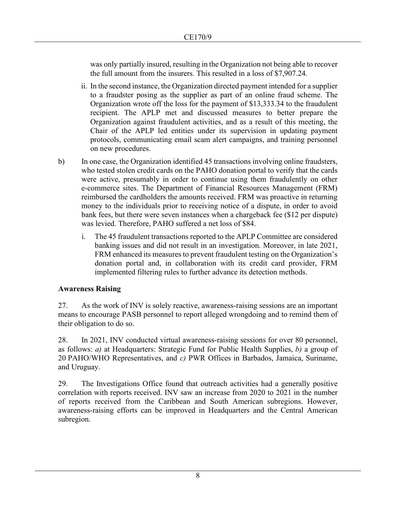was only partially insured, resulting in the Organization not being able to recover the full amount from the insurers. This resulted in a loss of \$7,907.24.

- ii. In the second instance, the Organization directed payment intended for a supplier to a fraudster posing as the supplier as part of an online fraud scheme. The Organization wrote off the loss for the payment of \$13,333.34 to the fraudulent recipient. The APLP met and discussed measures to better prepare the Organization against fraudulent activities, and as a result of this meeting, the Chair of the APLP led entities under its supervision in updating payment protocols, communicating email scam alert campaigns, and training personnel on new procedures.
- b) In one case, the Organization identified 45 transactions involving online fraudsters, who tested stolen credit cards on the PAHO donation portal to verify that the cards were active, presumably in order to continue using them fraudulently on other e-commerce sites. The Department of Financial Resources Management (FRM) reimbursed the cardholders the amounts received. FRM was proactive in returning money to the individuals prior to receiving notice of a dispute, in order to avoid bank fees, but there were seven instances when a chargeback fee (\$12 per dispute) was levied. Therefore, PAHO suffered a net loss of \$84.
	- i. The 45 fraudulent transactions reported to the APLP Committee are considered banking issues and did not result in an investigation. Moreover, in late 2021, FRM enhanced its measures to prevent fraudulent testing on the Organization's donation portal and, in collaboration with its credit card provider, FRM implemented filtering rules to further advance its detection methods.

#### **Awareness Raising**

27. As the work of INV is solely reactive, awareness-raising sessions are an important means to encourage PASB personnel to report alleged wrongdoing and to remind them of their obligation to do so.

28. In 2021, INV conducted virtual awareness-raising sessions for over 80 personnel, as follows: *a)* at Headquarters: Strategic Fund for Public Health Supplies, *b)* a group of 20 PAHO/WHO Representatives, and *c)* PWR Offices in Barbados, Jamaica, Suriname, and Uruguay.

29. The Investigations Office found that outreach activities had a generally positive correlation with reports received. INV saw an increase from 2020 to 2021 in the number of reports received from the Caribbean and South American subregions. However, awareness-raising efforts can be improved in Headquarters and the Central American subregion.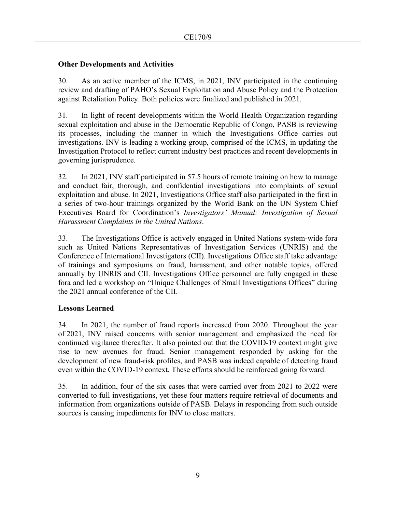#### **Other Developments and Activities**

30. As an active member of the ICMS, in 2021, INV participated in the continuing review and drafting of PAHO's Sexual Exploitation and Abuse Policy and the Protection against Retaliation Policy. Both policies were finalized and published in 2021.

31. In light of recent developments within the World Health Organization regarding sexual exploitation and abuse in the Democratic Republic of Congo, PASB is reviewing its processes, including the manner in which the Investigations Office carries out investigations. INV is leading a working group, comprised of the ICMS, in updating the Investigation Protocol to reflect current industry best practices and recent developments in governing jurisprudence.

32. In 2021, INV staff participated in 57.5 hours of remote training on how to manage and conduct fair, thorough, and confidential investigations into complaints of sexual exploitation and abuse. In 2021, Investigations Office staff also participated in the first in a series of two-hour trainings organized by the World Bank on the UN System Chief Executives Board for Coordination's *Investigators' Manual: Investigation of Sexual Harassment Complaints in the United Nations*.

33. The Investigations Office is actively engaged in United Nations system-wide fora such as United Nations Representatives of Investigation Services (UNRIS) and the Conference of International Investigators (CII). Investigations Office staff take advantage of trainings and symposiums on fraud, harassment, and other notable topics, offered annually by UNRIS and CII. Investigations Office personnel are fully engaged in these fora and led a workshop on "Unique Challenges of Small Investigations Offices" during the 2021 annual conference of the CII.

## **Lessons Learned**

34. In 2021, the number of fraud reports increased from 2020. Throughout the year of 2021, INV raised concerns with senior management and emphasized the need for continued vigilance thereafter. It also pointed out that the COVID-19 context might give rise to new avenues for fraud. Senior management responded by asking for the development of new fraud-risk profiles, and PASB was indeed capable of detecting fraud even within the COVID-19 context. These efforts should be reinforced going forward.

35. In addition, four of the six cases that were carried over from 2021 to 2022 were converted to full investigations, yet these four matters require retrieval of documents and information from organizations outside of PASB. Delays in responding from such outside sources is causing impediments for INV to close matters.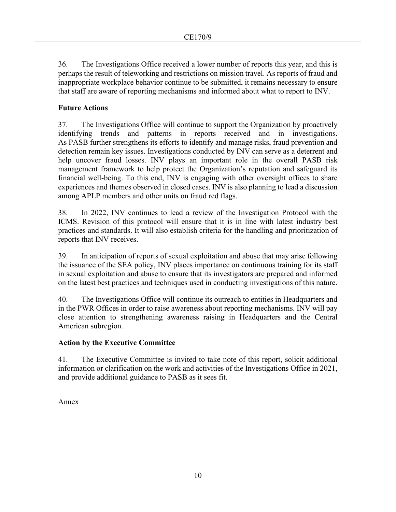36. The Investigations Office received a lower number of reports this year, and this is perhaps the result of teleworking and restrictions on mission travel. As reports of fraud and inappropriate workplace behavior continue to be submitted, it remains necessary to ensure that staff are aware of reporting mechanisms and informed about what to report to INV.

## **Future Actions**

37. The Investigations Office will continue to support the Organization by proactively identifying trends and patterns in reports received and in investigations. As PASB further strengthens its efforts to identify and manage risks, fraud prevention and detection remain key issues. Investigations conducted by INV can serve as a deterrent and help uncover fraud losses. INV plays an important role in the overall PASB risk management framework to help protect the Organization's reputation and safeguard its financial well-being. To this end, INV is engaging with other oversight offices to share experiences and themes observed in closed cases. INV is also planning to lead a discussion among APLP members and other units on fraud red flags.

38. In 2022, INV continues to lead a review of the Investigation Protocol with the ICMS. Revision of this protocol will ensure that it is in line with latest industry best practices and standards. It will also establish criteria for the handling and prioritization of reports that INV receives.

39. In anticipation of reports of sexual exploitation and abuse that may arise following the issuance of the SEA policy, INV places importance on continuous training for its staff in sexual exploitation and abuse to ensure that its investigators are prepared and informed on the latest best practices and techniques used in conducting investigations of this nature.

40. The Investigations Office will continue its outreach to entities in Headquarters and in the PWR Offices in order to raise awareness about reporting mechanisms. INV will pay close attention to strengthening awareness raising in Headquarters and the Central American subregion.

## **Action by the Executive Committee**

41. The Executive Committee is invited to take note of this report, solicit additional information or clarification on the work and activities of the Investigations Office in 2021, and provide additional guidance to PASB as it sees fit.

Annex